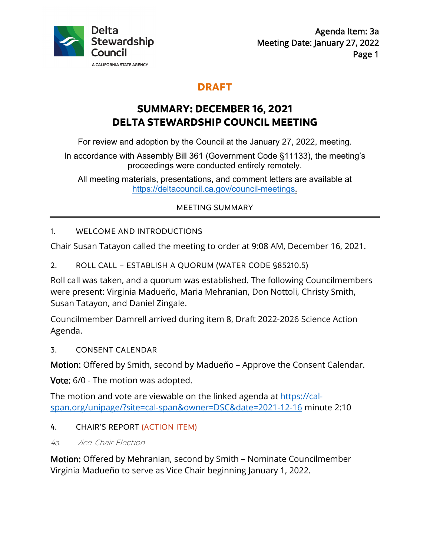

## **DRAFT**

# **SUMMARY: DECEMBER 16, 2021 DELTA STEWARDSHIP COUNCIL MEETING**

For review and adoption by the Council at the January 27, 2022, meeting.

In accordance with Assembly Bill 361 (Government Code §11133), the meeting's proceedings were conducted entirely remotely.

All meeting materials, presentations, and comment letters are available at<br>https://deltacouncil.ca.gov/council-meetings.

## MEETING SUMMARY

## 1. WELCOME AND INTRODUCTIONS

Chair Susan Tatayon called the meeting to order at 9:08 AM, December 16, 2021.

2. ROLL CALL – ESTABLISH A QUORUM (WATER CODE §85210.5)

 Susan Tatayon, and Daniel Zingale. Roll call was taken, and a quorum was established. The following Councilmembers were present: Virginia Madueño, Maria Mehranian, Don Nottoli, Christy Smith,

Councilmember Damrell arrived during item 8, Draft 2022-2026 Science Action Agenda.

3. CONSENT CALENDAR

Motion: Offered by Smith, second by Madueño – Approve the Consent Calendar.

**Vote:** 6/0 - The motion was adopted.

The motion and vote are viewable on the linked agenda at https://calspan.org/unipage/?site=cal-span&owner=DSC&date=2021-12-16 minute 2:10

## 4. CHAIR'S REPORT (ACTION ITEM)

4a. Vice-Chair Election

 Motion: Offered by Mehranian, second by Smith – Nominate Councilmember Virginia Madueño to serve as Vice Chair beginning January 1, 2022.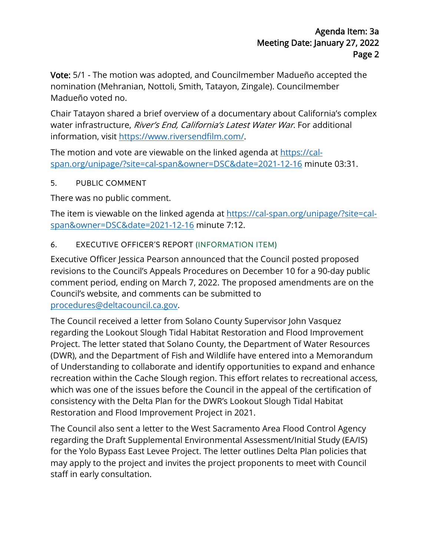Vote: 5/1 - The motion was adopted, and Councilmember Madueño accepted the nomination (Mehranian, Nottoli, Smith, Tatayon, Zingale). Councilmember Madueño voted no.

 Chair Tatayon shared a brief overview of a documentary about California's complex water infrastructure, River's End, California's Latest Water War. For additional information, visit<https://www.riversendfilm.com>/.

The motion and vote are viewable on the linked agenda at <u>https://cal-</u> span.org/unipage/?site=cal-span&owner=DSC&date=2021-12-16 minute 03:31.

#### 5. PUBLIC COMMENT

There was no public comment.

The item is viewable on the linked agenda at <https://cal-span.org/unipage/?site=cal>span&owner=DSC&date=2021-12-16 minute 7:12.

## 6. EXECUTIVE OFFICER'S REPORT (INFORMATION ITEM)

 Executive Officer Jessica Pearson announced that the Council posted proposed Council's website, and comments can be submitted to revisions to the Council's Appeals Procedures on December 10 for a 90-day public comment period, ending on March 7, 2022. The proposed amendments are on the [procedures@deltacouncil.ca.gov.](mailto:procedures@deltacouncil.ca.gov)

 Project. The letter stated that Solano County, the Department of Water Resources Restoration and Flood Improvement Project in 2021. The Council received a letter from Solano County Supervisor John Vasquez regarding the Lookout Slough Tidal Habitat Restoration and Flood Improvement (DWR), and the Department of Fish and Wildlife have entered into a Memorandum of Understanding to collaborate and identify opportunities to expand and enhance recreation within the Cache Slough region. This effort relates to recreational access, which was one of the issues before the Council in the appeal of the certification of consistency with the Delta Plan for the DWR's Lookout Slough Tidal Habitat

 The Council also sent a letter to the West Sacramento Area Flood Control Agency for the Yolo Bypass East Levee Project. The letter outlines Delta Plan policies that regarding the Draft Supplemental Environmental Assessment/Initial Study (EA/IS) may apply to the project and invites the project proponents to meet with Council staff in early consultation.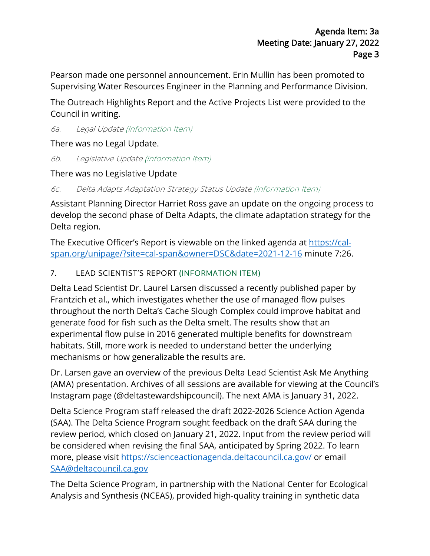Pearson made one personnel announcement. Erin Mullin has been promoted to Supervising Water Resources Engineer in the Planning and Performance Division.

 The Outreach Highlights Report and the Active Projects List were provided to the Council in writing.

6a. Legal Update (Information Item)

There was no Legal Update.

6b. Legislative Update (Information Item)

There was no Legislative Update

6c. Delta Adapts Adaptation Strategy Status Update (Information Item)

Assistant Planning Director Harriet Ross gave an update on the ongoing process to develop the second phase of Delta Adapts, the climate adaptation strategy for the Delta region.

The Executive Officer's Report is viewable on the linked agenda at <u>https://cal-</u> span.org/unipage/?site=cal-span&owner=DSC&date=2021-12-16 minute 7:26.

## 7. LEAD SCIENTIST'S REPORT (INFORMATION ITEM)

mechanisms or how generalizable the results are. Delta Lead Scientist Dr. Laurel Larsen discussed a recently published paper by Frantzich et al., which investigates whether the use of managed flow pulses throughout the north Delta's Cache Slough Complex could improve habitat and generate food for fish such as the Delta smelt. The results show that an experimental flow pulse in 2016 generated multiple benefits for downstream habitats. Still, more work is needed to understand better the underlying

Dr. Larsen gave an overview of the previous Delta Lead Scientist Ask Me Anything (AMA) presentation. Archives of all sessions are available for viewing at the Council's Instagram page (@deltastewardshipcouncil). The next AMA is January 31, 2022.

 Delta Science Program staff released the draft 2022-2026 Science Action Agenda (SAA). The Delta Science Program sought feedback on the draft SAA during the review period, which closed on January 21, 2022. Input from the review period will be considered when revising the final SAA, anticipated by Spring 2022. To learn more, please visit [https://scienceactionagenda.deltacouncil.ca.gov/](https://scienceactionagenda.deltacouncil.ca.gov) or email [SAA@deltacouncil.ca.gov](mailto:SAA@deltacouncil.ca.gov) 

 Analysis and Synthesis (NCEAS), provided high-quality training in synthetic data The Delta Science Program, in partnership with the National Center for Ecological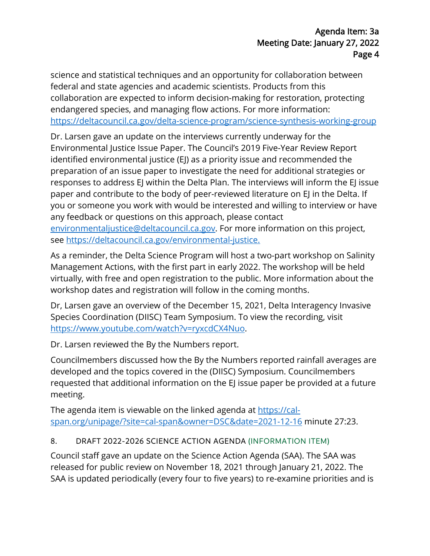science and statistical techniques and an opportunity for collaboration between federal and state agencies and academic scientists. Products from this collaboration are expected to inform decision-making for restoration, protecting endangered species, and managing flow actions. For more information:

<u><https://deltacouncil.ca.gov/delta-science-program/science-synthesis-working-group></u><br>Dr. Larsen gave an update on the interviews currently underway for the Dr. Larsen gave an update on the interviews currently underway for the paper and contribute to the body of peer-reviewed literature on EJ in the Delta. If you or someone you work with would be interested and willing to interview or have Environmental Justice Issue Paper. The Council's 2019 Five-Year Review Report identified environmental justice (EJ) as a priority issue and recommended the preparation of an issue paper to investigate the need for additional strategies or responses to address EJ within the Delta Plan. The interviews will inform the EJ issue any feedback or questions on this approach, please contact [environmentaljustice@deltacouncil.ca.gov.](mailto:environmentaljustice@deltacouncil.ca.gov) For more information on this project,

see<https://deltacouncil.ca.gov/environmental-justice>.

As a reminder, the Delta Science Program will host a two-part workshop on Salinity Management Actions, with the first part in early 2022. The workshop will be held virtually, with free and open registration to the public. More information about the workshop dates and registration will follow in the coming months.

Dr, Larsen gave an overview of the December 15, 2021, Delta Interagency Invasive Species Coordination (DIISC) Team Symposium. To view the recording, visit [https://www.youtube.com/watch?v=ryxcdCX4Nuo.](https://www.youtube.com/watch?v=ryxcdCX4Nuo)

Dr. Larsen reviewed the By the Numbers report.

Councilmembers discussed how the By the Numbers reported rainfall averages are developed and the topics covered in the (DIISC) Symposium. Councilmembers requested that additional information on the EJ issue paper be provided at a future meeting.

The agenda item is viewable on the linked agenda at<https://cal>span.org/unipage/?site=cal-span&owner=DSC&date=2021-12-16 minute 27:23.

## 8. DRAFT 2022-2026 SCIENCE ACTION AGENDA (INFORMATION ITEM)

 Council staff gave an update on the Science Action Agenda (SAA). The SAA was SAA is updated periodically (every four to five years) to re-examine priorities and is released for public review on November 18, 2021 through January 21, 2022. The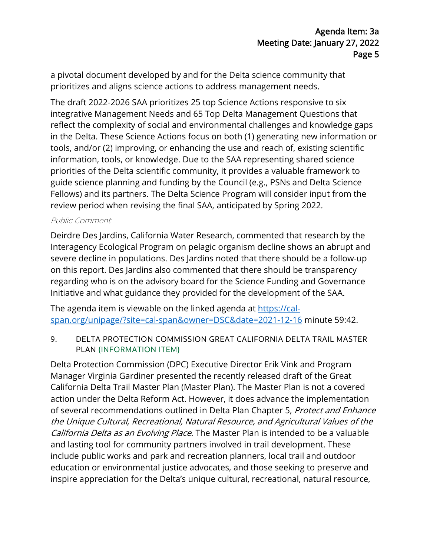a pivotal document developed by and for the Delta science community that prioritizes and aligns science actions to address management needs.

 information, tools, or knowledge. Due to the SAA representing shared science The draft 2022-2026 SAA prioritizes 25 top Science Actions responsive to six integrative Management Needs and 65 Top Delta Management Questions that reflect the complexity of social and environmental challenges and knowledge gaps in the Delta. These Science Actions focus on both (1) generating new information or tools, and/or (2) improving, or enhancing the use and reach of, existing scientific priorities of the Delta scientific community, it provides a valuable framework to guide science planning and funding by the Council (e.g., PSNs and Delta Science Fellows) and its partners. The Delta Science Program will consider input from the review period when revising the final SAA, anticipated by Spring 2022.

#### Public Comment

 severe decline in populations. Des Jardins noted that there should be a follow-up on this report. Des Jardins also commented that there should be transparency regarding who is on the advisory board for the Science Funding and Governance Initiative and what guidance they provided for the development of the SAA. Deirdre Des Jardins, California Water Research, commented that research by the Interagency Ecological Program on pelagic organism decline shows an abrupt and

 span.org/unipage/?site=cal-span&owner=DSC&date=2021-12-16 minute 59:42. The agenda item is viewable on the linked agenda at [https://cal-](https://cal)

9. DELTA PROTECTION COMMISSION GREAT CALIFORNIA DELTA TRAIL MASTER PLAN (INFORMATION ITEM)

 action under the Delta Reform Act. However, it does advance the implementation Delta Protection Commission (DPC) Executive Director Erik Vink and Program Manager Virginia Gardiner presented the recently released draft of the Great California Delta Trail Master Plan (Master Plan). The Master Plan is not a covered of several recommendations outlined in Delta Plan Chapter 5, Protect and Enhance the Unique Cultural, Recreational, Natural Resource, and Agricultural Values of the California Delta as an Evolving Place. The Master Plan is intended to be a valuable and lasting tool for community partners involved in trail development. These include public works and park and recreation planners, local trail and outdoor education or environmental justice advocates, and those seeking to preserve and inspire appreciation for the Delta's unique cultural, recreational, natural resource,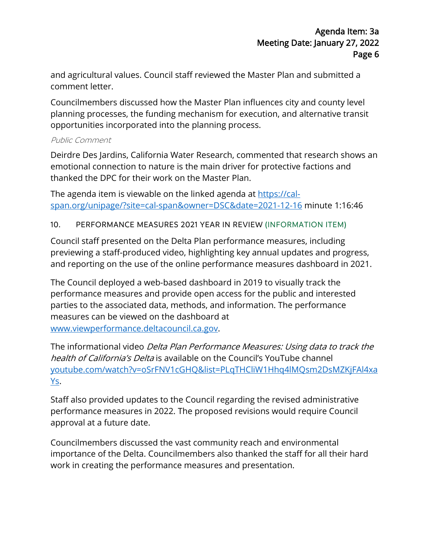comment letter. and agricultural values. Council staff reviewed the Master Plan and submitted a

Councilmembers discussed how the Master Plan influences city and county level planning processes, the funding mechanism for execution, and alternative transit opportunities incorporated into the planning process.

#### Public Comment

Deirdre Des Jardins, California Water Research, commented that research shows an emotional connection to nature is the main driver for protective factions and thanked the DPC for their work on the Master Plan.

The agenda item is viewable on the linked agenda at https://calspan.org/unipage/?site=cal-span&owner=DSC&date=2021-12-16 minute 1:16:46

#### 10. PERFORMANCE MEASURES 2021 YEAR IN REVIEW (INFORMATION ITEM)

Council staff presented on the Delta Plan performance measures, including previewing a staff-produced video, highlighting key annual updates and progress,

and reporting on the use of the online performance measures dashboard in 2021.<br>The Council deployed a web-based dashboard in 2019 to visually track the performance measures and provide open access for the public and interested parties to the associated data, methods, and information. The performance measures can be viewed on the dashboard at www.viewperformance.deltacouncil.ca.gov.

 health of California's Delta is available on the Council's YouTube channel The informational video Delta Plan Performance Measures: Using data to track the youtube.com/watch?v=oSrFNV1cGHQ&list=PLqTHCliW1Hhq4lMQsm2DsMZKjFAl4xa Ys.

Staff also provided updates to the Council regarding the revised administrative performance measures in 2022. The proposed revisions would require Council approval at a future date.

Councilmembers discussed the vast community reach and environmental importance of the Delta. Councilmembers also thanked the staff for all their hard work in creating the performance measures and presentation.